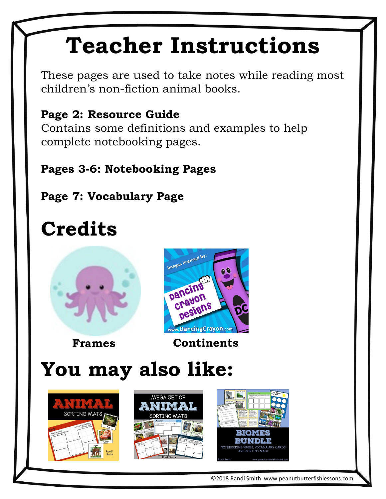# **Teacher Instructions**

These pages are used to take notes while reading most children's non-fiction animal books.

#### **Page 2: Resource Guide**

Contains some definitions and examples to help complete notebooking pages.

**Pages 3-6: Notebooking Pages**

**Page 7: Vocabulary Page**

## **Credits**





**Frames Continents**

## **You may also like:**







©2018 Randi Smith www.peanutbutterfishlessons.com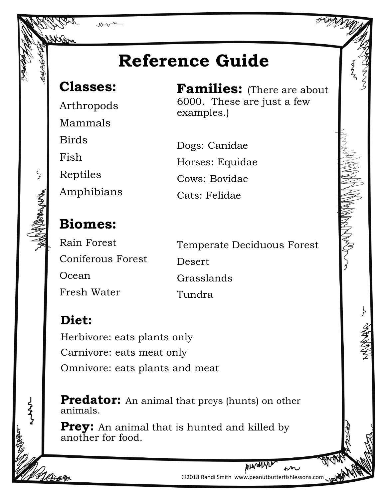

examples.)

Dogs: Canidae

Cows: Bovidae

Cats: Felidae

Horses: Equidae

**Classes:** 

Arthropods Mammals Birds Fish

Reptiles

لي<br>في

らく

Amphibians

#### **Biomes:**

**Diet:**

Rain Forest Coniferous Forest Ocean Fresh Water

Temperate Deciduous Forest Desert Grasslands Tundra

**Families:** (There are about

6000. These are just a few

Herbivore: eats plants only Carnivore: eats meat only Omnivore: eats plants and meat

**Predator:** An animal that preys (hunts) on other animals.

**Prey:** An animal that is hunted and killed by another for food.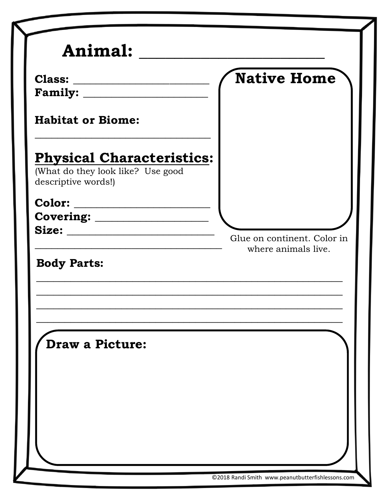|                                                                       | <b>Native Home</b>          |
|-----------------------------------------------------------------------|-----------------------------|
|                                                                       |                             |
| <b>Habitat or Biome:</b>                                              |                             |
| <b>Physical Characteristics:</b><br>(What do they look like? Use good |                             |
| descriptive words!)                                                   |                             |
|                                                                       |                             |
|                                                                       |                             |
| Size:                                                                 | Glue on continent. Color in |
| <b>Body Parts:</b>                                                    |                             |
| <b>Draw a Picture:</b>                                                |                             |
|                                                                       |                             |
|                                                                       |                             |

z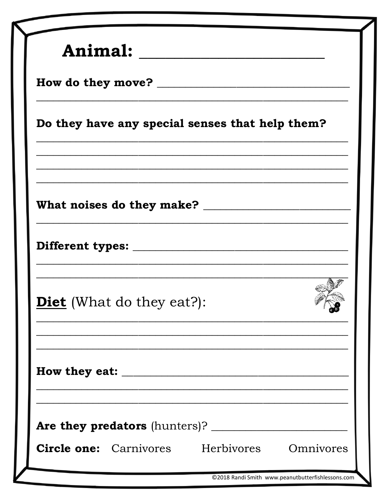| Animal:                                            |                                                                                                                                   |  |
|----------------------------------------------------|-----------------------------------------------------------------------------------------------------------------------------------|--|
|                                                    |                                                                                                                                   |  |
| Do they have any special senses that help them?    |                                                                                                                                   |  |
|                                                    | <u> 1989 - Johann Stoff, amerikansk politiker (* 1908)</u><br><u> 1990 - Johann John Stone, market fransk politiker (d. 1980)</u> |  |
|                                                    |                                                                                                                                   |  |
|                                                    |                                                                                                                                   |  |
| <b>Diet</b> (What do they eat?):                   |                                                                                                                                   |  |
|                                                    | <u> 1989 - Johann Barbara, martxa alemaniar a</u>                                                                                 |  |
|                                                    |                                                                                                                                   |  |
| <b>Circle one:</b> Carnivores Herbivores Omnivores |                                                                                                                                   |  |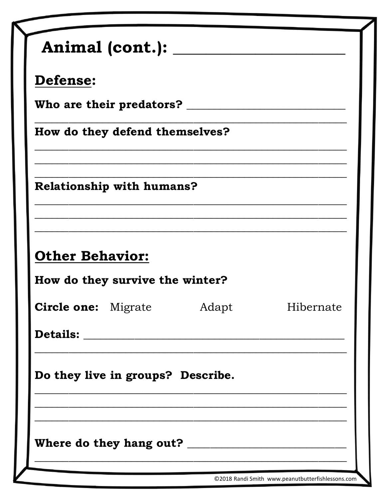| Adapt                                                                                                                                                                                                                                                                  |                 |  |           |
|------------------------------------------------------------------------------------------------------------------------------------------------------------------------------------------------------------------------------------------------------------------------|-----------------|--|-----------|
| Who are their predators? $\rule{1em}{0.15mm}$<br>How do they defend themselves?<br><b>Relationship with humans?</b><br><b>Other Behavior:</b><br>How do they survive the winter?<br><b>Circle one:</b> Migrate<br><b>Details:</b><br>Do they live in groups? Describe. | <b>Defense:</b> |  |           |
|                                                                                                                                                                                                                                                                        |                 |  |           |
|                                                                                                                                                                                                                                                                        |                 |  |           |
|                                                                                                                                                                                                                                                                        |                 |  |           |
|                                                                                                                                                                                                                                                                        |                 |  |           |
|                                                                                                                                                                                                                                                                        |                 |  |           |
|                                                                                                                                                                                                                                                                        |                 |  |           |
|                                                                                                                                                                                                                                                                        |                 |  |           |
|                                                                                                                                                                                                                                                                        |                 |  |           |
|                                                                                                                                                                                                                                                                        |                 |  | Hibernate |
|                                                                                                                                                                                                                                                                        |                 |  |           |
|                                                                                                                                                                                                                                                                        |                 |  |           |
|                                                                                                                                                                                                                                                                        |                 |  |           |
|                                                                                                                                                                                                                                                                        |                 |  |           |
|                                                                                                                                                                                                                                                                        |                 |  |           |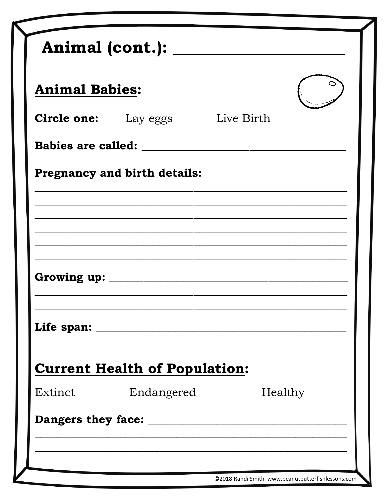|         | <b>Animal Babies:</b>                  |         |  |
|---------|----------------------------------------|---------|--|
|         | <b>Circle one:</b> Lay eggs Live Birth |         |  |
|         |                                        |         |  |
|         | Pregnancy and birth details:           |         |  |
|         |                                        |         |  |
|         |                                        |         |  |
|         |                                        |         |  |
|         |                                        |         |  |
|         |                                        |         |  |
|         |                                        |         |  |
|         | <b>Current Health of Population:</b>   |         |  |
| Extinct | Endangered                             | Healthy |  |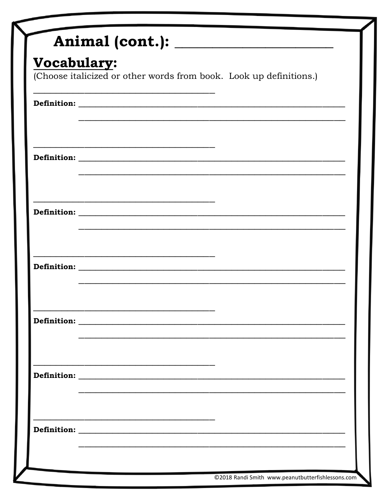| Vocabulary:                                                                                                           |                                                                                                                       |  |  |
|-----------------------------------------------------------------------------------------------------------------------|-----------------------------------------------------------------------------------------------------------------------|--|--|
| (Choose italicized or other words from book. Look up definitions.)                                                    |                                                                                                                       |  |  |
|                                                                                                                       |                                                                                                                       |  |  |
|                                                                                                                       |                                                                                                                       |  |  |
|                                                                                                                       | <u> 1990 - Johann John Stone, market fan de Fryske keamste keamste keamste keamste keamste keamste keamste keams</u>  |  |  |
|                                                                                                                       |                                                                                                                       |  |  |
|                                                                                                                       |                                                                                                                       |  |  |
|                                                                                                                       |                                                                                                                       |  |  |
|                                                                                                                       |                                                                                                                       |  |  |
| <u> 1989 - Johann John Stein, markin fan de Amerikaansk ferfanging oan de Amerikaansk fan de Amerikaansk fan de A</u> |                                                                                                                       |  |  |
|                                                                                                                       |                                                                                                                       |  |  |
|                                                                                                                       | <u> 1989 - Johann Stoff, deutscher Stoff, der Stoff, der Stoff, der Stoff, der Stoff, der Stoff, der Stoff, der S</u> |  |  |
|                                                                                                                       |                                                                                                                       |  |  |
|                                                                                                                       |                                                                                                                       |  |  |
|                                                                                                                       |                                                                                                                       |  |  |
|                                                                                                                       |                                                                                                                       |  |  |
|                                                                                                                       |                                                                                                                       |  |  |
|                                                                                                                       |                                                                                                                       |  |  |
|                                                                                                                       |                                                                                                                       |  |  |
|                                                                                                                       |                                                                                                                       |  |  |
|                                                                                                                       |                                                                                                                       |  |  |
|                                                                                                                       |                                                                                                                       |  |  |
|                                                                                                                       |                                                                                                                       |  |  |
|                                                                                                                       |                                                                                                                       |  |  |
|                                                                                                                       |                                                                                                                       |  |  |
|                                                                                                                       |                                                                                                                       |  |  |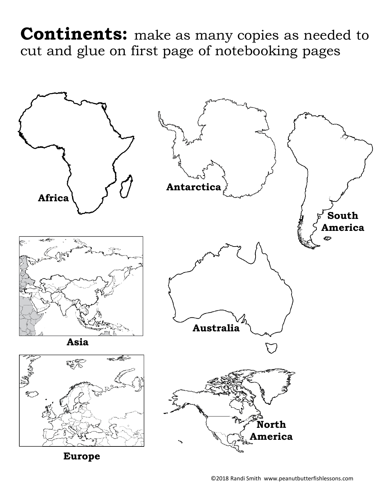**Continents:** make as many copies as needed to cut and glue on first page of notebooking pages